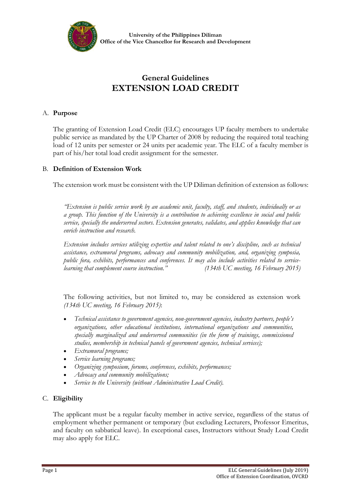

# **General Guidelines EXTENSION LOAD CREDIT**

#### A. **Purpose**

The granting of Extension Load Credit (ELC) encourages UP faculty members to undertake public service as mandated by the UP Charter of 2008 by reducing the required total teaching load of 12 units per semester or 24 units per academic year. The ELC of a faculty member is part of his/her total load credit assignment for the semester.

# B. **Definition of Extension Work**

The extension work must be consistent with the UP Diliman definition of extension as follows:

*"Extension is public service work by an academic unit, faculty, staff, and students, individually or as a group. This function of the University is a contribution to achieving excellence in social and public service, specially the underserved sectors. Extension generates, validates, and applies knowledge that can enrich instruction and research.* 

*Extension includes services utilizing expertise and talent related to one's discipline, such as technical assistance, extramural programs, advocacy and community mobilization, and, organizing symposia, public fora, exhibits, performances and conferences. It may also include activities related to servicelearning that complement course instruction." (134th UC meeting, 16 February 2015)*

The following activities, but not limited to, may be considered as extension work *(134th UC meeting, 16 February 2015)*:

- *Technical assistance to government agencies, non-government agencies, industry partners, people's organizations, other educational institutions, international organizations and communities, specially marginalized and underserved communities (in the form of trainings, commissioned studies, membership in technical panels of government agencies, technical services);*
- *Extramural programs;*
- *Service learning programs;*
- *Organizing symposium, forums, conferences, exhibits, performances;*
- *Advocacy and community mobilizations;*
- *Service to the University (without Administrative Load Credit).*

# C. **Eligibility**

The applicant must be a regular faculty member in active service, regardless of the status of employment whether permanent or temporary (but excluding Lecturers, Professor Emeritus, and faculty on sabbatical leave). In exceptional cases, Instructors without Study Load Credit may also apply for ELC.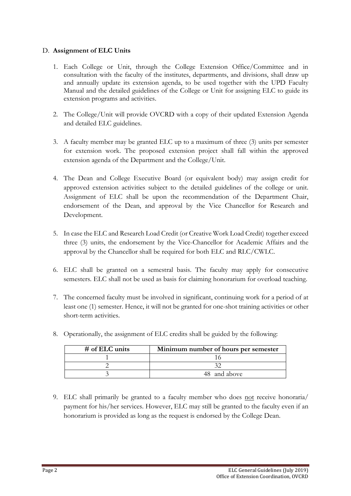#### D. **Assignment of ELC Units**

- 1. Each College or Unit, through the College Extension Office/Committee and in consultation with the faculty of the institutes, departments, and divisions, shall draw up and annually update its extension agenda, to be used together with the UPD Faculty Manual and the detailed guidelines of the College or Unit for assigning ELC to guide its extension programs and activities.
- 2. The College/Unit will provide OVCRD with a copy of their updated Extension Agenda and detailed ELC guidelines.
- 3. A faculty member may be granted ELC up to a maximum of three (3) units per semester for extension work. The proposed extension project shall fall within the approved extension agenda of the Department and the College/Unit.
- 4. The Dean and College Executive Board (or equivalent body) may assign credit for approved extension activities subject to the detailed guidelines of the college or unit. Assignment of ELC shall be upon the recommendation of the Department Chair, endorsement of the Dean, and approval by the Vice Chancellor for Research and Development.
- 5. In case the ELC and Research Load Credit (or Creative Work Load Credit) together exceed three (3) units, the endorsement by the Vice-Chancellor for Academic Affairs and the approval by the Chancellor shall be required for both ELC and RLC/CWLC.
- 6. ELC shall be granted on a semestral basis. The faculty may apply for consecutive semesters. ELC shall not be used as basis for claiming honorarium for overload teaching.
- 7. The concerned faculty must be involved in significant, continuing work for a period of at least one (1) semester. Hence, it will not be granted for one-shot training activities or other short-term activities.

| $#$ of ELC units | Minimum number of hours per semester |
|------------------|--------------------------------------|
|                  |                                      |
|                  |                                      |
|                  | 48 and above                         |

8. Operationally, the assignment of ELC credits shall be guided by the following:

9. ELC shall primarily be granted to a faculty member who does not receive honoraria/ payment for his/her services. However, ELC may still be granted to the faculty even if an honorarium is provided as long as the request is endorsed by the College Dean.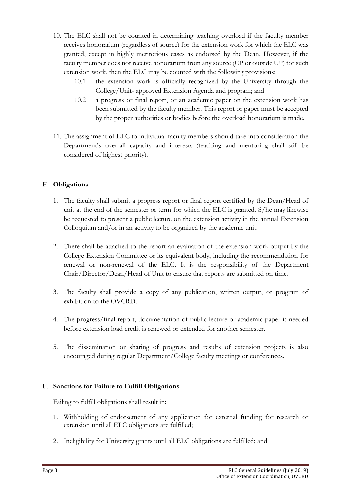- 10. The ELC shall not be counted in determining teaching overload if the faculty member receives honorarium (regardless of source) for the extension work for which the ELC was granted, except in highly meritorious cases as endorsed by the Dean. However, if the faculty member does not receive honorarium from any source (UP or outside UP) for such extension work, then the ELC may be counted with the following provisions:
	- 10.1 the extension work is officially recognized by the University through the College/Unit- approved Extension Agenda and program; and
	- 10.2 a progress or final report, or an academic paper on the extension work has been submitted by the faculty member. This report or paper must be accepted by the proper authorities or bodies before the overload honorarium is made.
- 11. The assignment of ELC to individual faculty members should take into consideration the Department's over-all capacity and interests (teaching and mentoring shall still be considered of highest priority).

# E. **Obligations**

- 1. The faculty shall submit a progress report or final report certified by the Dean/Head of unit at the end of the semester or term for which the ELC is granted. S/he may likewise be requested to present a public lecture on the extension activity in the annual Extension Colloquium and/or in an activity to be organized by the academic unit.
- 2. There shall be attached to the report an evaluation of the extension work output by the College Extension Committee or its equivalent body, including the recommendation for renewal or non-renewal of the ELC. It is the responsibility of the Department Chair/Director/Dean/Head of Unit to ensure that reports are submitted on time.
- 3. The faculty shall provide a copy of any publication, written output, or program of exhibition to the OVCRD.
- 4. The progress/final report, documentation of public lecture or academic paper is needed before extension load credit is renewed or extended for another semester.
- 5. The dissemination or sharing of progress and results of extension projects is also encouraged during regular Department/College faculty meetings or conferences.

# F. **Sanctions for Failure to Fulfill Obligations**

Failing to fulfill obligations shall result in:

- 1. Withholding of endorsement of any application for external funding for research or extension until all ELC obligations are fulfilled;
- 2. Ineligibility for University grants until all ELC obligations are fulfilled; and